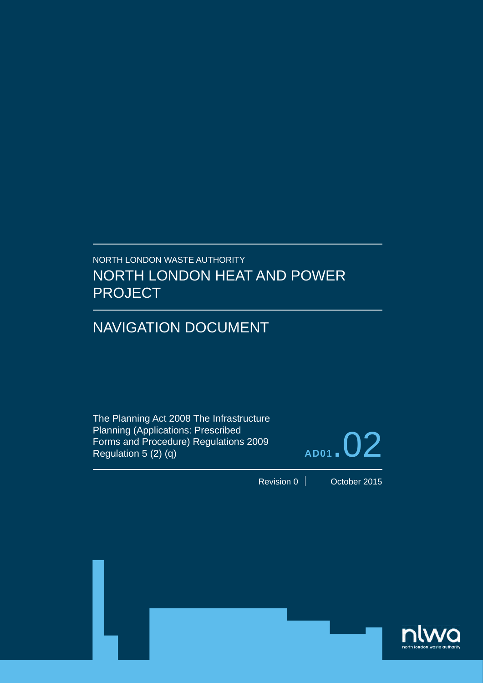### NORTH LONDON WASTE AUTHORITY NORTH LONDON HEAT AND POWER PROJECT

## NAVIGATION DOCUMENT

The Planning Act 2008 The Infrastructure Planning (Applications: Prescribed Forms and Procedure) Regulations 2009 Regulation 5 (2) (q)



Revision 0 **October 2015** 

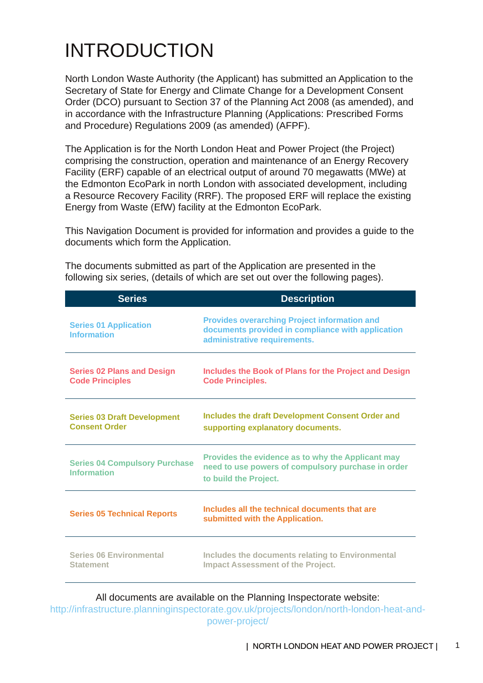# INTRODUCTION

North London Waste Authority (the Applicant) has submitted an Application to the Secretary of State for Energy and Climate Change for a Development Consent Order (DCO) pursuant to Section 37 of the Planning Act 2008 (as amended), and in accordance with the Infrastructure Planning (Applications: Prescribed Forms and Procedure) Regulations 2009 (as amended) (AFPF).

The Application is for the North London Heat and Power Project (the Project) comprising the construction, operation and maintenance of an Energy Recovery Facility (ERF) capable of an electrical output of around 70 megawatts (MWe) at the Edmonton EcoPark in north London with associated development, including a Resource Recovery Facility (RRF). The proposed ERF will replace the existing Energy from Waste (EfW) facility at the Edmonton EcoPark.

This Navigation Document is provided for information and provides a guide to the documents which form the Application.

| <b>Series</b>                                               | <b>Description</b>                                                                                                                       |
|-------------------------------------------------------------|------------------------------------------------------------------------------------------------------------------------------------------|
| <b>Series 01 Application</b><br><b>Information</b>          | <b>Provides overarching Project information and</b><br>documents provided in compliance with application<br>administrative requirements. |
| <b>Series 02 Plans and Design</b><br><b>Code Principles</b> | Includes the Book of Plans for the Project and Design<br><b>Code Principles.</b>                                                         |
| <b>Series 03 Draft Development</b><br><b>Consent Order</b>  | Includes the draft Development Consent Order and<br>supporting explanatory documents.                                                    |
| <b>Series 04 Compulsory Purchase</b><br><b>Information</b>  | Provides the evidence as to why the Applicant may<br>need to use powers of compulsory purchase in order<br>to build the Project.         |
| <b>Series 05 Technical Reports</b>                          | Includes all the technical documents that are<br>submitted with the Application.                                                         |
| <b>Series 06 Environmental</b><br><b>Statement</b>          | Includes the documents relating to Environmental<br><b>Impact Assessment of the Project.</b>                                             |

The documents submitted as part of the Application are presented in the following six series, (details of which are set out over the following pages).

#### All documents are available on the Planning Inspectorate website:

http://infrastructure.planninginspectorate.gov.uk/projects/london/north-london-heat-andpower-project/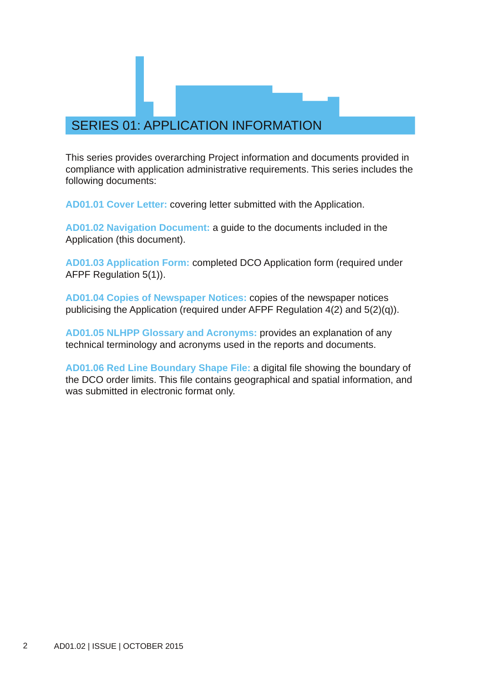### SERIES 01: APPLICATION INFORMATION

This series provides overarching Project information and documents provided in compliance with application administrative requirements. This series includes the following documents:

**AD01.01 Cover Letter:** covering letter submitted with the Application.

**AD01.02 Navigation Document:** a guide to the documents included in the Application (this document).

**AD01.03 Application Form:** completed DCO Application form (required under AFPF Regulation 5(1)).

**AD01.04 Copies of Newspaper Notices:** copies of the newspaper notices publicising the Application (required under AFPF Regulation 4(2) and 5(2)(q)).

**AD01.05 NLHPP Glossary and Acronyms:** provides an explanation of any technical terminology and acronyms used in the reports and documents.

**AD01.06 Red Line Boundary Shape File:** a digital file showing the boundary of the DCO order limits. This file contains geographical and spatial information, and was submitted in electronic format only.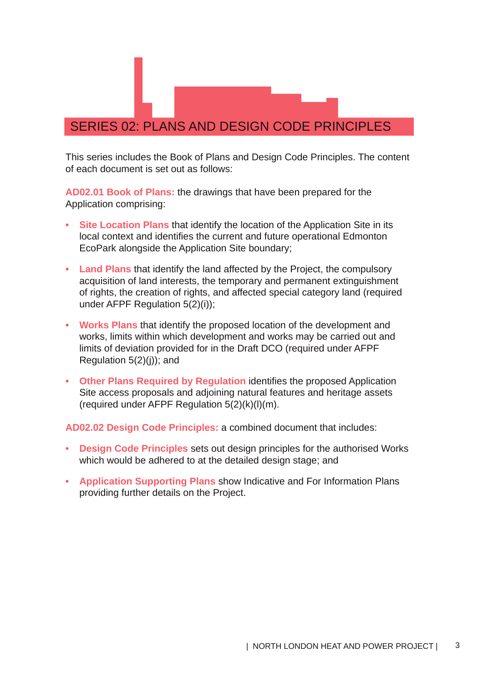#### SERIES 02: PLANS AND DESIGN CODE PRINCIPLES

This series includes the Book of Plans and Design Code Principles. The content of each document is set out as follows:

**AD02.01 Book of Plans:** the drawings that have been prepared for the Application comprising:

- **• Site Location Plans** that identify the location of the Application Site in its local context and identifies the current and future operational Edmonton EcoPark alongside the Application Site boundary;
- **• Land Plans** that identify the land affected by the Project, the compulsory acquisition of land interests, the temporary and permanent extinguishment of rights, the creation of rights, and affected special category land (required under AFPF Regulation 5(2)(i));
- **• Works Plans** that identify the proposed location of the development and works, limits within which development and works may be carried out and limits of deviation provided for in the Draft DCO (required under AFPF Regulation 5(2)(j)); and
- **• Other Plans Required by Regulation** identifies the proposed Application Site access proposals and adjoining natural features and heritage assets (required under AFPF Requiation  $5(2)(k)(l)(m)$ .

**AD02.02 Design Code Principles:** a combined document that includes:

- **• Design Code Principles** sets out design principles for the authorised Works which would be adhered to at the detailed design stage; and
- **• Application Supporting Plans** show Indicative and For Information Plans providing further details on the Project.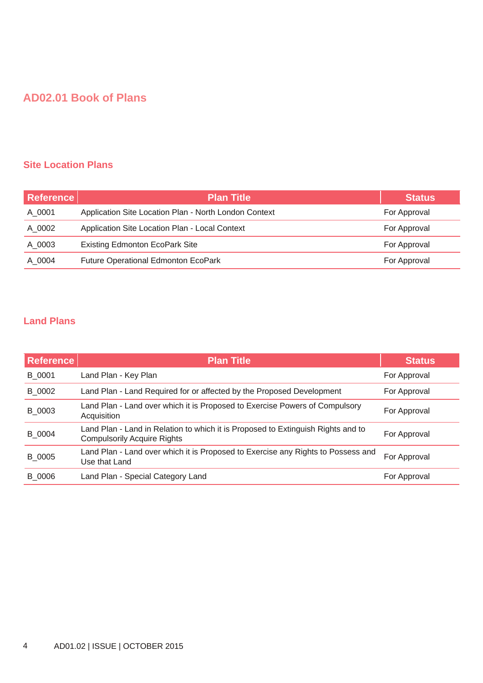#### **AD02.01 Book of Plans**

#### **Site Location Plans**

| Reference | <b>Plan Title</b>                                     | <b>Status</b> |
|-----------|-------------------------------------------------------|---------------|
| A 0001    | Application Site Location Plan - North London Context | For Approval  |
| A 0002    | Application Site Location Plan - Local Context        | For Approval  |
| A 0003    | <b>Existing Edmonton EcoPark Site</b>                 | For Approval  |
| A 0004    | <b>Future Operational Edmonton EcoPark</b>            | For Approval  |

#### **Land Plans**

| Reference | <b>Plan Title</b>                                                                                                      | <b>Status</b> |
|-----------|------------------------------------------------------------------------------------------------------------------------|---------------|
| B 0001    | Land Plan - Key Plan                                                                                                   | For Approval  |
| B 0002    | Land Plan - Land Required for or affected by the Proposed Development                                                  | For Approval  |
| B 0003    | Land Plan - Land over which it is Proposed to Exercise Powers of Compulsory<br>Acquisition                             | For Approval  |
| B_0004    | Land Plan - Land in Relation to which it is Proposed to Extinguish Rights and to<br><b>Compulsorily Acquire Rights</b> | For Approval  |
| B 0005    | Land Plan - Land over which it is Proposed to Exercise any Rights to Possess and<br>Use that Land                      | For Approval  |
| B 0006    | Land Plan - Special Category Land                                                                                      | For Approval  |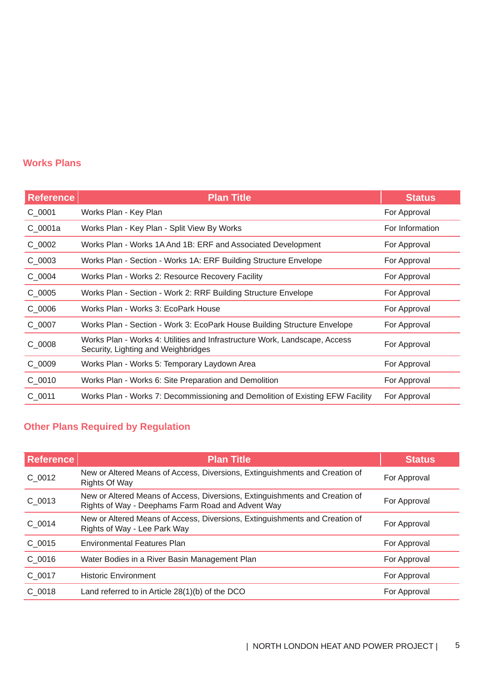#### **Works Plans**

| <b>Reference</b> | <b>Plan Title</b>                                                                                                 | <b>Status</b>   |
|------------------|-------------------------------------------------------------------------------------------------------------------|-----------------|
| $C_0001$         | Works Plan - Key Plan                                                                                             | For Approval    |
| $C_0001a$        | Works Plan - Key Plan - Split View By Works                                                                       | For Information |
| $C_0$ 0002       | Works Plan - Works 1A And 1B: ERF and Associated Development                                                      | For Approval    |
| $C_0$ 0003       | Works Plan - Section - Works 1A: ERF Building Structure Envelope                                                  | For Approval    |
| $C_0$ 0004       | Works Plan - Works 2: Resource Recovery Facility                                                                  | For Approval    |
| $C_0$ 0005       | Works Plan - Section - Work 2: RRF Building Structure Envelope                                                    | For Approval    |
| $C_0$ 0006       | Works Plan - Works 3: EcoPark House                                                                               | For Approval    |
| $C_0$ 0007       | Works Plan - Section - Work 3: EcoPark House Building Structure Envelope                                          | For Approval    |
| $C_0$ 0008       | Works Plan - Works 4: Utilities and Infrastructure Work, Landscape, Access<br>Security, Lighting and Weighbridges | For Approval    |
| $C_0$ 0009       | Works Plan - Works 5: Temporary Laydown Area                                                                      | For Approval    |
| $C_0$ 0010       | Works Plan - Works 6: Site Preparation and Demolition                                                             | For Approval    |
| $C$ 0011         | Works Plan - Works 7: Decommissioning and Demolition of Existing EFW Facility                                     | For Approval    |

### **Other Plans Required by Regulation**

| <b>Reference</b> | <b>Plan Title</b>                                                                                                                | <b>Status</b> |
|------------------|----------------------------------------------------------------------------------------------------------------------------------|---------------|
| C 0012           | New or Altered Means of Access, Diversions, Extinguishments and Creation of<br><b>Rights Of Way</b>                              | For Approval  |
| $C_0$ 0013       | New or Altered Means of Access, Diversions, Extinguishments and Creation of<br>Rights of Way - Deephams Farm Road and Advent Way | For Approval  |
| C 0014           | New or Altered Means of Access, Diversions, Extinguishments and Creation of<br>Rights of Way - Lee Park Way                      | For Approval  |
| C 0015           | <b>Environmental Features Plan</b>                                                                                               | For Approval  |
| C 0016           | Water Bodies in a River Basin Management Plan                                                                                    | For Approval  |
| C 0017           | <b>Historic Environment</b>                                                                                                      | For Approval  |
| C 0018           | Land referred to in Article 28(1)(b) of the DCO                                                                                  | For Approval  |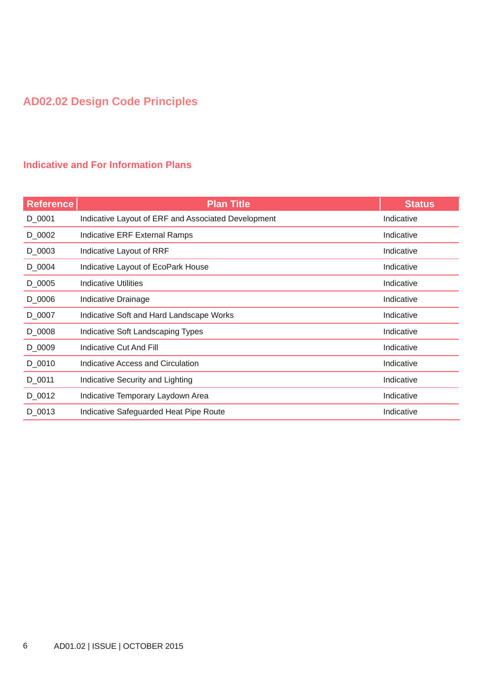### **AD02.02 Design Code Principles**

#### **Indicative and For Information Plans**

| <b>Reference</b> | <b>Plan Title</b>                                   | <b>Status</b> |
|------------------|-----------------------------------------------------|---------------|
| D_0001           | Indicative Layout of ERF and Associated Development | Indicative    |
| D_0002           | <b>Indicative ERF External Ramps</b>                | Indicative    |
| D_0003           | Indicative Layout of RRF                            | Indicative    |
| D_0004           | Indicative Layout of EcoPark House                  | Indicative    |
| D_0005           | <b>Indicative Utilities</b>                         | Indicative    |
| D_0006           | Indicative Drainage                                 | Indicative    |
| D_0007           | Indicative Soft and Hard Landscape Works            | Indicative    |
| D_0008           | Indicative Soft Landscaping Types                   | Indicative    |
| D_0009           | <b>Indicative Cut And Fill</b>                      | Indicative    |
| D_0010           | Indicative Access and Circulation                   | Indicative    |
| D_0011           | Indicative Security and Lighting                    | Indicative    |
| D_0012           | Indicative Temporary Laydown Area                   | Indicative    |
| D_0013           | Indicative Safeguarded Heat Pipe Route              | Indicative    |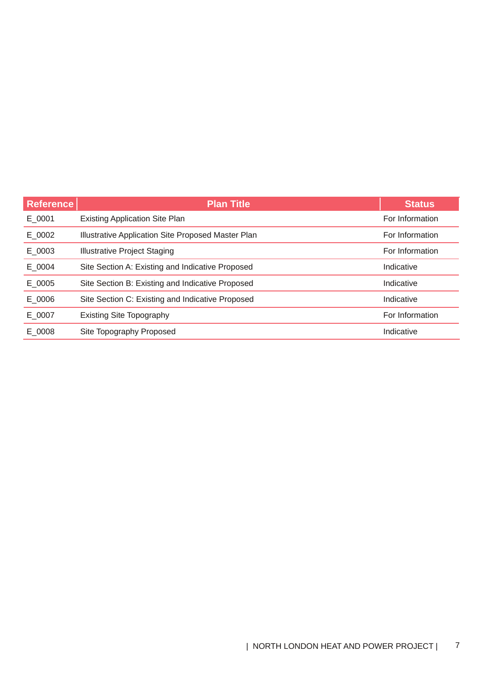| <b>Reference</b> | <b>Plan Title</b>                                  | <b>Status</b>   |
|------------------|----------------------------------------------------|-----------------|
| E 0001           | <b>Existing Application Site Plan</b>              | For Information |
| E 0002           | Illustrative Application Site Proposed Master Plan | For Information |
| E 0003           | <b>Illustrative Project Staging</b>                | For Information |
| $E$ _0004        | Site Section A: Existing and Indicative Proposed   | Indicative      |
| $E_0$ 0005       | Site Section B: Existing and Indicative Proposed   | Indicative      |
| E 0006           | Site Section C: Existing and Indicative Proposed   | Indicative      |
| E 0007           | <b>Existing Site Topography</b>                    | For Information |
| E 0008           | Site Topography Proposed                           | Indicative      |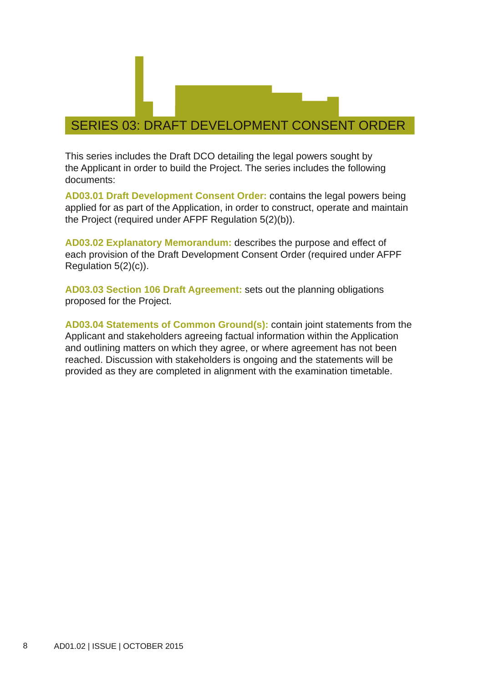#### SERIES 03: DRAFT DEVELOPMENT CONSENT ORDER

This series includes the Draft DCO detailing the legal powers sought by the Applicant in order to build the Project. The series includes the following documents:

**AD03.01 Draft Development Consent Order:** contains the legal powers being applied for as part of the Application, in order to construct, operate and maintain the Project (required under AFPF Regulation 5(2)(b)).

**AD03.02 Explanatory Memorandum:** describes the purpose and effect of each provision of the Draft Development Consent Order (required under AFPF Regulation 5(2)(c)).

**AD03.03 Section 106 Draft Agreement:** sets out the planning obligations proposed for the Project.

**AD03.04 Statements of Common Ground(s):** contain joint statements from the Applicant and stakeholders agreeing factual information within the Application and outlining matters on which they agree, or where agreement has not been reached. Discussion with stakeholders is ongoing and the statements will be provided as they are completed in alignment with the examination timetable.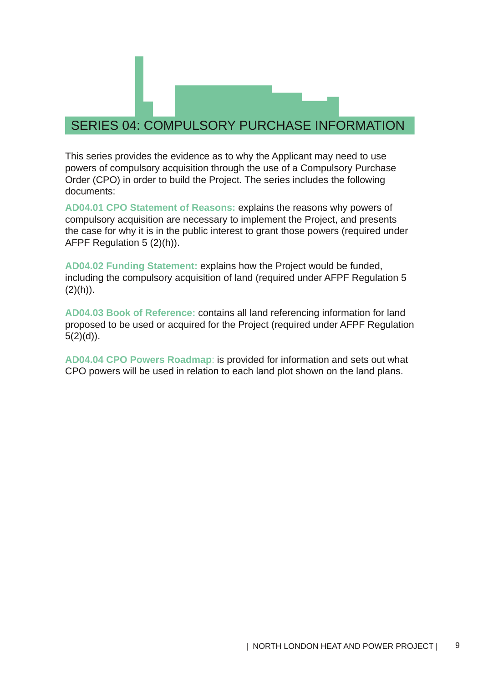### SERIES 04: COMPULSORY PURCHASE INFORMATION

This series provides the evidence as to why the Applicant may need to use powers of compulsory acquisition through the use of a Compulsory Purchase Order (CPO) in order to build the Project. The series includes the following documents:

**AD04.01 CPO Statement of Reasons:** explains the reasons why powers of compulsory acquisition are necessary to implement the Project, and presents the case for why it is in the public interest to grant those powers (required under AFPF Regulation 5 (2)(h)).

**AD04.02 Funding Statement:** explains how the Project would be funded, including the compulsory acquisition of land (required under AFPF Regulation 5  $(2)(h)$ ).

**AD04.03 Book of Reference:** contains all land referencing information for land proposed to be used or acquired for the Project (required under AFPF Regulation  $5(2)(d)$ ).

**AD04.04 CPO Powers Roadmap**: is provided for information and sets out what CPO powers will be used in relation to each land plot shown on the land plans.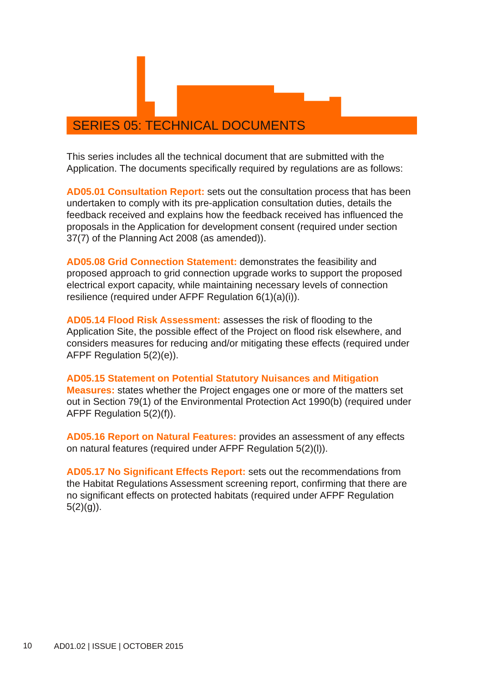### SERIES 05: TECHNICAL DOCUMENTS

This series includes all the technical document that are submitted with the Application. The documents specifically required by requiations are as follows:

**AD05.01 Consultation Report:** sets out the consultation process that has been undertaken to comply with its pre-application consultation duties, details the feedback received and explains how the feedback received has influenced the proposals in the Application for development consent (required under section 37(7) of the Planning Act 2008 (as amended)).

**AD05.08 Grid Connection Statement:** demonstrates the feasibility and proposed approach to grid connection upgrade works to support the proposed electrical export capacity, while maintaining necessary levels of connection resilience (required under AFPF Regulation 6(1)(a)(i)).

**AD05.14 Flood Risk Assessment:** assesses the risk of flooding to the Application Site, the possible effect of the Project on flood risk elsewhere, and considers measures for reducing and/or mitigating these effects (required under AFPF Regulation 5(2)(e)).

**AD05.15 Statement on Potential Statutory Nuisances and Mitigation Measures:** states whether the Project engages one or more of the matters set out in Section 79(1) of the Environmental Protection Act 1990(b) (required under AFPF Regulation 5(2)(f)).

**AD05.16 Report on Natural Features:** provides an assessment of any effects on natural features (required under AFPF Regulation 5(2)(l)).

**AD05.17 No Significant Effects Report:** sets out the recommendations from the Habitat Regulations Assessment screening report, confirming that there are no significant effects on protected habitats (required under AFPF Regulation  $5(2)(g)$ ).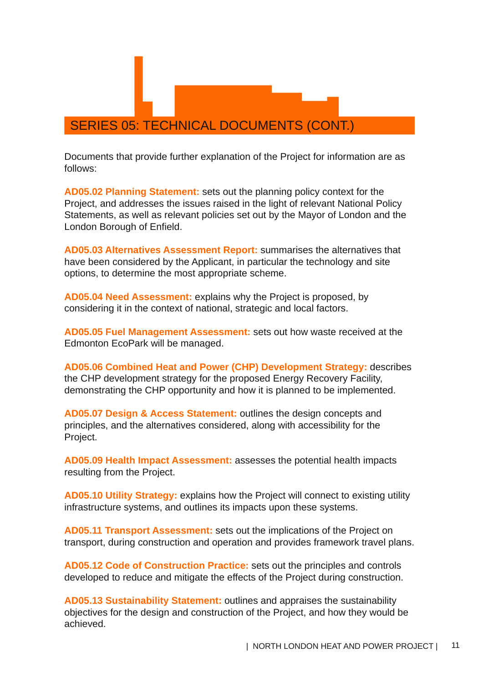#### SERIES 05: TECHNICAL DOCUMENTS (CONT.)

Documents that provide further explanation of the Project for information are as follows:

**AD05.02 Planning Statement:** sets out the planning policy context for the Project, and addresses the issues raised in the light of relevant National Policy Statements, as well as relevant policies set out by the Mayor of London and the London Borough of Enfield.

**AD05.03 Alternatives Assessment Report:** summarises the alternatives that have been considered by the Applicant, in particular the technology and site options, to determine the most appropriate scheme.

**AD05.04 Need Assessment:** explains why the Project is proposed, by considering it in the context of national, strategic and local factors.

**AD05.05 Fuel Management Assessment:** sets out how waste received at the Edmonton EcoPark will be managed.

**AD05.06 Combined Heat and Power (CHP) Development Strategy:** describes the CHP development strategy for the proposed Energy Recovery Facility, demonstrating the CHP opportunity and how it is planned to be implemented.

**AD05.07 Design & Access Statement:** outlines the design concepts and principles, and the alternatives considered, along with accessibility for the Project.

**AD05.09 Health Impact Assessment:** assesses the potential health impacts resulting from the Project.

**AD05.10 Utility Strategy:** explains how the Project will connect to existing utility infrastructure systems, and outlines its impacts upon these systems.

**AD05.11 Transport Assessment:** sets out the implications of the Project on transport, during construction and operation and provides framework travel plans.

**AD05.12 Code of Construction Practice:** sets out the principles and controls developed to reduce and mitigate the effects of the Project during construction.

**AD05.13 Sustainability Statement:** outlines and appraises the sustainability objectives for the design and construction of the Project, and how they would be achieved.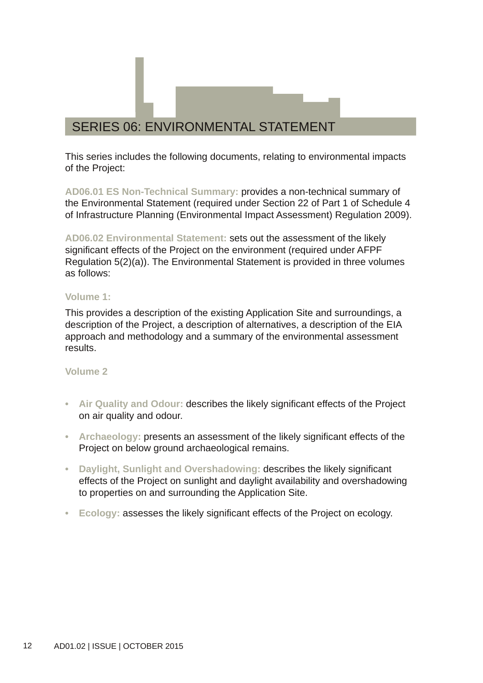### SERIES 06: ENVIRONMENTAL STATEMENT

This series includes the following documents, relating to environmental impacts of the Project:

**AD06.01 ES Non-Technical Summary:** provides a non-technical summary of the Environmental Statement (required under Section 22 of Part 1 of Schedule 4 of Infrastructure Planning (Environmental Impact Assessment) Regulation 2009).

**AD06.02 Environmental Statement:** sets out the assessment of the likely significant effects of the Project on the environment (required under AFPF Regulation 5(2)(a)). The Environmental Statement is provided in three volumes as follows:

#### **Volume 1:**

This provides a description of the existing Application Site and surroundings, a description of the Project, a description of alternatives, a description of the EIA approach and methodology and a summary of the environmental assessment results.

#### **Volume 2**

- **• Air Quality and Odour:** describes the likely significant effects of the Project on air quality and odour.
- **• Archaeology:** presents an assessment of the likely significant effects of the Project on below ground archaeological remains.
- **• Daylight, Sunlight and Overshadowing:** describes the likely significant effects of the Project on sunlight and daylight availability and overshadowing to properties on and surrounding the Application Site.
- **• Ecology:** assesses the likely significant effects of the Project on ecology.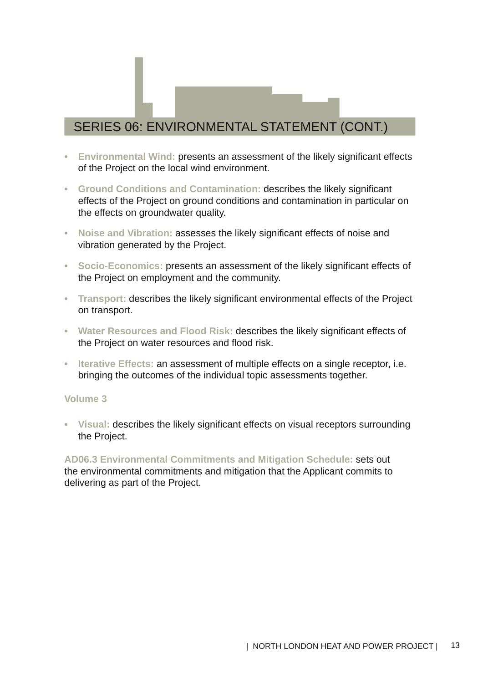### SERIES 06: ENVIRONMENTAL STATEMENT (CONT.)

- **• Environmental Wind:** presents an assessment of the likely significant effects of the Project on the local wind environment.
- **• Ground Conditions and Contamination:** describes the likely significant effects of the Project on ground conditions and contamination in particular on the effects on groundwater quality.
- **• Noise and Vibration:** assesses the likely significant effects of noise and vibration generated by the Project.
- **• Socio-Economics:** presents an assessment of the likely significant effects of the Project on employment and the community.
- **• Transport:** describes the likely significant environmental effects of the Project on transport.
- **• Water Resources and Flood Risk:** describes the likely significant effects of the Project on water resources and flood risk.
- **• Iterative Effects:** an assessment of multiple effects on a single receptor, i.e. bringing the outcomes of the individual topic assessments together.

#### **Volume 3**

**• Visual:** describes the likely significant effects on visual receptors surrounding the Project.

**AD06.3 Environmental Commitments and Mitigation Schedule:** sets out the environmental commitments and mitigation that the Applicant commits to delivering as part of the Project.